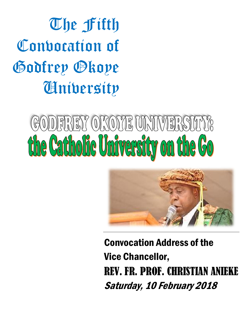The Fifth Conporation of Godfrey Okoye University

> GODFREY OKOYE UNIVERSITY: the Catholic University on the Go



Convocation Address of the Vice Chancellor, REV. FR. PROF. CHRISTIAN ANIEKE Saturday, 10 February 2018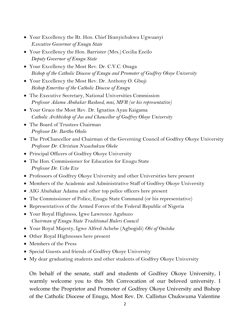- Your Excellency the Rt. Hon. Chief Ifeanyichukwu Ugwuanyi *Executive Governor of Enugu State*
- Your Excellency the Hon. Barrister (Mrs.) Cecilia Ezeilo *Deputy Governor of Enugu State*
- Your Excellency the Most Rev. Dr. C.V.C. Onaga *Bishop of the Catholic Diocese of Enugu and Promoter of Godfrey Okoye University*
- Your Excellency the Most Rev. Dr. Anthony O. Gbuji *Bishop Emeritus of the Catholic Diocese of Enugu*
- The Executive Secretary, National Universities Commission *Professor Adamu Abubakar Rasheed, mni, MFR (or his representative)*
- Your Grace the Most Rev. Dr. Ignatius Ayau Kaigama *Catholic Archbishop of Jos and Chancellor of Godfrey Okoye University*
- The Board of Trustees Chairman *Professor Dr. Bartho Okolo*
- The ProChancellor and Chairman of the Governing Council of Godfrey Okoye University *Professor Dr. Christian Nwachukwu Okeke*
- Principal Officers of Godfrey Okoye University
- The Hon. Commissioner for Education for Enugu State *Professor Dr. Uche Eze*
- Professors of Godfrey Okoye University and other Universities here present
- Members of the Academic and Administrative Staff of Godfrey Okoye University
- AIG Abubakar Adamu and other top police officers here present
- The Commissioner of Police, Enugu State Command (or his representative)
- Representatives of the Armed Forces of the Federal Republic of Nigeria
- Your Royal Highness, Igwe Lawrence Agubuzo *Chairman of Enugu State Traditional Rulers Council*
- Your Royal Majesty, Igwe Alfred Achebe (Agbogidi) *Obi of Onitsha*
- Other Royal Highnesses here present
- Members of the Press
- Special Guests and friends of Godfrey Okoye University
- My dear graduating students and other students of Godfrey Okoye University

On behalf of the senate, staff and students of Godfrey Okoye University, I warmly welcome you to this 5th Convocation of our beloved university. I welcome the Proprietor and Promoter of Godfrey Okoye University and Bishop of the Catholic Diocese of Enugu, Most Rev. Dr. Callistus Chukwuma Valentine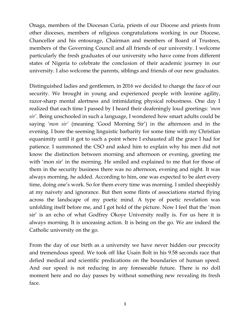Onaga, members of the Diocesan Curia, priests of our Diocese and priests from other dioceses, members of religious congratulations working in our Diocese, Chancellor and his entourage, Chairman and members of Board of Trustees, members of the Governing Council and all friends of our university. I welcome particularly the fresh graduates of our university who have come from different states of Nigeria to celebrate the conclusion of their academic journey in our university. I also welcome the parents, siblings and friends of our new graduates.

Distinguished ladies and gentlemen, in 2016 we decided to change the face of our security. We brought in young and experienced people with leonine agility, razor-sharp mental alertness and intimidating physical robustness. One day I realized that each time I passed by I heard their deafeningly loud greetings: *'mon sir'*. Being unschooled in such a language, I wondered how smart adults could be saying *'mon sir'* (meaning 'Good Morning Sir') in the afternoon and in the evening. I bore the seeming linguistic barbarity for some time with my Christian equanimity until it got to such a point where I exhausted all the grace I had for patience. I summoned the CSO and asked him to explain why his men did not know the distinction between morning and afternoon or evening, greeting me with 'mon sir' in the morning. He smiled and explained to me that for those of them in the security business there was no afternoon, evening and night. It was always morning, he added. According to him, one was expected to be alert every time, doing one's work. So for them every time was morning. I smiled sheepishly at my naivety and ignorance. But then some flints of associations started flying across the landscape of my poetic mind. A type of poetic revelation was unfolding itself before me, and I got hold of the picture. Now I feel that the 'mon sir' is an echo of what Godfrey Okoye University really is. For us here it is always morning. It is unceasing action. It is being on the go. We are indeed the Catholic university on the go.

From the day of our birth as a university we have never hidden our precocity and tremendous speed. We took off like Usain Bolt in his 9.58 seconds race that defied medical and scientific predications on the boundaries of human speed. And our speed is not reducing in any foreseeable future. There is no doll moment here and no day passes by without something new revealing its fresh face.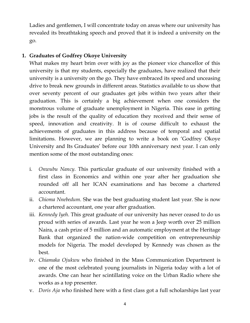Ladies and gentlemen, I will concentrate today on areas where our university has revealed its breathtaking speech and proved that it is indeed a university on the go.

# **1. Graduates of Godfrey Okoye University**

What makes my heart brim over with joy as the pioneer vice chancellor of this university is that my students, especially the graduates, have realized that their university is a university on the go. They have embraced its speed and unceasing drive to break new grounds in different areas. Statistics available to us show that over seventy percent of our graduates get jobs within two years after their graduation. This is certainly a big achievement when one considers the monstrous volume of graduate unemployment in Nigeria. This ease in getting jobs is the result of the quality of education they received and their sense of speed, innovation and creativity. It is of course difficult to exhaust the achievements of graduates in this address because of temporal and spatial limitations. However, we are planning to write a book on 'Godfrey Okoye University and Its Graduates' before our 10th anniversary next year. I can only mention some of the most outstanding ones:

- i. *Onwubu Nancy*. This particular graduate of our university finished with a first class in Economics and within one year after her graduation she rounded off all her ICAN examinations and has become a chartered accountant.
- ii. *Chioma Nnebedum*. She was the best graduating student last year. She is now a chartered accountant, one year after graduation.
- iii. *Kennedy Iyeh*. This great graduate of our university has never ceased to do us proud with series of awards. Last year he won a Jeep worth over 25 million Naira, a cash prize of 5 million and an automatic employment at the Heritage Bank that organized the nation-wide competition on entrepreneurship models for Nigeria. The model developed by Kennedy was chosen as the best.
- iv. *Chiamaka Ojukwu* who finished in the Mass Communication Department is one of the most celebrated young journalists in Nigeria today with a lot of awards. One can hear her scintillating voice on the Urban Radio where she works as a top presenter.
- v. *Doris Aja* who finished here with a first class got a full scholarships last year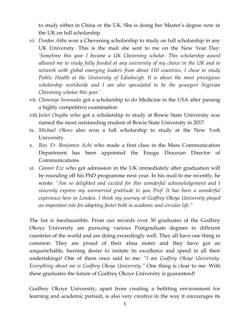to study either in China or the UK. She is doing her Master's degree now in the UK on full scholarship.

- vi. *Doofan Abba* won a Chevening scholarship to study on full scholarship in any UK University. This is the mail she sent to me on the New Year Day: *'Sometime this year I became a UK Chevening scholar. This scholarship award allowed me to study fully funded at any university of my choice in the UK and to network with global emerging leaders from about 110 countries. I chose to study Public Health at the University of Edinburgh. It is about the most prestigious scholarship worldwide and I am also speculated to be the youngest Nigerian Chevening scholar this year.'*
- vii. *Chinonye Iwumadu* got a scholarship to do Medicine in the USA after passing a highly competitive examination
- viii.*Juliet Onyiba* who got a scholarship to study at Bowie State University was named the most outstanding student of Bowie State University in 2017.
- ix. *Michael Okoro* also won a full scholarship to study at the New York University.
- x. *Rev. Fr. Benjamin Achi* who made a first class in the Mass Communication Department has been appointed the Enugu Diocesan Director of Communications.
- xi. *Casmir Eze* who got admission in the UK immediately after graduation will be rounding off his PhD programme next year. In his mail to me recently, he wrote: *"Am so delighted and excited for this wonderful acknowledgement and I sincerely express my unreserved gratitude to you Prof. It has been a wonderful*  experience here in London. I think my journey at Godfrey Okoye University played *an important role for adapting faster both in academic and circular life."*

The list is inexhaustible. From our records over 30 graduates of the Godfrey Okoye University are pursuing various Postgraduate degrees in different countries of the world and are doing exceedingly well. They all have one thing in common: They are proud of their alma mater and they have got an unquenchable, burning desire to imitate its excellence and speed in all their undertakings! One of them once said to me: *"I am Godfrey Okoye University. Everything about me is Godfrey Okoye University."* One thing is clear to me: With these graduates the future of Godfrey Okoye University is guaranteed!

Godfrey Okoye University, apart from creating a befitting environment for learning and academic pursuit, is also very creative in the way it encourages its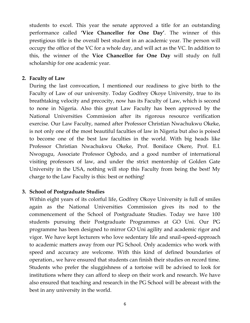students to excel. This year the senate approved a title for an outstanding performance called **'Vice Chancellor for One Day'**. The winner of this prestigious title is the overall best student in an academic year. The person will occupy the office of the VC for a whole day, and will act as the VC. In addition to this, the winner of the **Vice Chancellor for One Day** will study on full scholarship for one academic year.

# **2. Faculty of Law**

During the last convocation, I mentioned our readiness to give birth to the Faculty of Law of our university. Today Godfrey Okoye University, true to its breathtaking velocity and precocity, now has its Faculty of Law, which is second to none in Nigeria. Also this great Law Faculty has been approved by the National Universities Commission after its rigorous resource verification exercise. Our Law Faculty, named after Professor Christian Nwachukwu Okeke, is not only one of the most beautiful faculties of law in Nigeria but also is poised to become one of the best law faculties in the world. With big heads like Professor Christian Nwachukwu Okeke, Prof. Boniface Okere, Prof. E.I. Nwogugu, Associate Professor Ogbodo, and a good number of international visiting professors of law, and under the strict mentorship of Golden Gate University in the USA, nothing will stop this Faculty from being the best! My charge to the Law Faculty is this: best or nothing!

# **3. School of Postgraduate Studies**

Within eight years of its colorful life, Godfrey Okoye University is full of smiles again as the National Universities Commission gives its nod to the commencement of the School of Postgraduate Studies. Today we have 100 students pursuing their Postgraduate Programmes at GO Uni. Our PG programme has been designed to mirror GO Uni agility and academic rigor and vigor. We have kept lecturers who love sedentary life and snail-speed-approach to academic matters away from our PG School. Only academics who work with speed and accuracy are welcome. With this kind of defined boundaries of operation., we have ensured that students can finish their studies on record time. Students who prefer the sluggishness of a tortoise will be advised to look for institutions where they can afford to sleep on their work and research. We have also ensured that teaching and research in the PG School will be abreast with the best in any university in the world.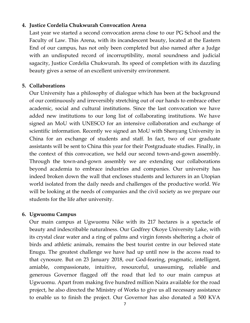### **4. Justice Cordelia Chukwurah Convocation Arena**

Last year we started a second convocation arena close to our PG School and the Faculty of Law. This Arena, with its incandescent beauty, located at the Eastern End of our campus, has not only been completed but also named after a Judge with an undisputed record of incorruptibility, moral soundness and judicial sagacity, Justice Cordelia Chukwurah. Its speed of completion with its dazzling beauty gives a sense of an excellent university environment.

### **5. Collaborations**

Our University has a philosophy of dialogue which has been at the background of our continuously and irreversibly stretching out of our hands to embrace other academic, social and cultural institutions. Since the last convocation we have added new institutions to our long list of collaborating institutions. We have signed an MoU with UNESCO for an intensive collaboration and exchange of scientific information. Recently we signed an MoU with Shenyang University in China for an exchange of students and staff. In fact, two of our graduate assistants will be sent to China this year for their Postgraduate studies. Finally, in the context of this convocation, we held our second town-and-gown assembly. Through the town-and-gown assembly we are extending our collaborations beyond academia to embrace industries and companies. Our university has indeed broken down the wall that encloses students and lecturers in an Utopian world isolated from the daily needs and challenges of the productive world. We will be looking at the needs of companies and the civil society as we prepare our students for the life after university.

### **6. Ugwuomu Campus**

Our main campus at Ugwuomu Nike with its 217 hectares is a spectacle of beauty and indescribable naturalness. Our Godfrey Okoye University Lake, with its crystal clear water and a ring of palms and virgin forests sheltering a choir of birds and athletic animals, remains the best tourist centre in our beloved state Enugu. The greatest challenge we have had up until now is the access road to that cynosure. But on 23 January 2018, our God-fearing, pragmatic, intelligent, amiable, compassionate, intuitive, resourceful, unassuming, reliable and generous Governor flagged off the road that led to our main campus at Ugwuomu. Apart from making five hundred million Naira available for the road project, he also directed the Ministry of Works to give us all necessary assistance to enable us to finish the project. Our Governor has also donated a 500 KVA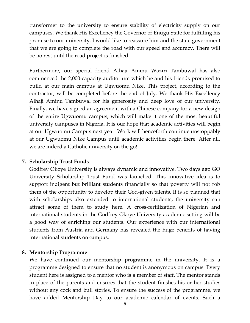transformer to the university to ensure stability of electricity supply on our campuses. We thank His Excellency the Governor of Enugu State for fulfilling his promise to our university. I would like to reassure him and the state government that we are going to complete the road with our speed and accuracy. There will be no rest until the road project is finished.

Furthermore, our special friend Alhaji Aminu Waziri Tambuwal has also commenced the 2,000-capacity auditorium which he and his friends promised to build at our main campus at Ugwuomu Nike. This project, according to the contractor, will be completed before the end of July. We thank His Excellency Alhaji Aminu Tambuwal for his generosity and deep love of our university. Finally, we have signed an agreement with a Chinese company for a new design of the entire Ugwuomu campus, which will make it one of the most beautiful university campuses in Nigeria. It is our hope that academic activities will begin at our Ugwuomu Campus next year. Work will henceforth continue unstoppably at our Ugwuomu Nike Campus until academic activities begin there. After all, we are indeed a Catholic university on the go!

# **7. Scholarship Trust Funds**

Godfrey Okoye University is always dynamic and innovative. Two days ago GO University Scholarship Trust Fund was launched. This innovative idea is to support indigent but brilliant students financially so that poverty will not rob them of the opportunity to develop their God-given talents. It is so planned that with scholarships also extended to international students, the university can attract some of them to study here. A cross-fertilization of Nigerian and international students in the Godfrey Okoye University academic setting will be a good way of enriching our students. Our experience with our international students from Austria and Germany has revealed the huge benefits of having international students on campus.

### **8. Mentorship Programme**

We have continued our mentorship programme in the university. It is a programme designed to ensure that no student is anonymous on campus. Every student here is assigned to a mentor who is a member of staff. The mentor stands in place of the parents and ensures that the student finishes his or her studies without any cock and bull stories. To ensure the success of the programme, we have added Mentorship Day to our academic calendar of events. Such a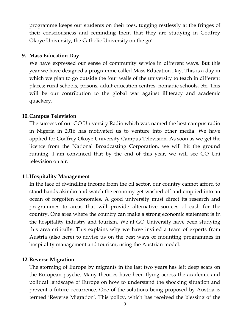programme keeps our students on their toes, tugging restlessly at the fringes of their consciousness and reminding them that they are studying in Godfrey Okoye University, the Catholic University on the go!

### **9. Mass Education Day**

We have expressed our sense of community service in different ways. But this year we have designed a programme called Mass Education Day. This is a day in which we plan to go outside the four walls of the university to teach in different places: rural schools, prisons, adult education centres, nomadic schools, etc. This will be our contribution to the global war against illiteracy and academic quackery.

#### **10.Campus Television**

The success of our GO University Radio which was named the best campus radio in Nigeria in 2016 has motivated us to venture into other media. We have applied for Godfrey Okoye University Campus Television. As soon as we get the licence from the National Broadcasting Corporation, we will hit the ground running. I am convinced that by the end of this year, we will see GO Uni television on air.

#### **11. Hospitality Management**

In the face of dwindling income from the oil sector, our country cannot afford to stand hands akimbo and watch the economy get washed off and emptied into an ocean of forgotten economies. A good university must direct its research and programmes to areas that will provide alternative sources of cash for the country. One area where the country can make a strong economic statement is in the hospitality industry and tourism. We at GO University have been studying this area critically. This explains why we have invited a team of experts from Austria (also here) to advise us on the best ways of mounting programmes in hospitality management and tourism, using the Austrian model.

#### **12.Reverse Migration**

The storming of Europe by migrants in the last two years has left deep scars on the European psyche. Many theories have been flying across the academic and political landscape of Europe on how to understand the shocking situation and prevent a future occurrence. One of the solutions being proposed by Austria is termed 'Reverse Migration'. This policy, which has received the blessing of the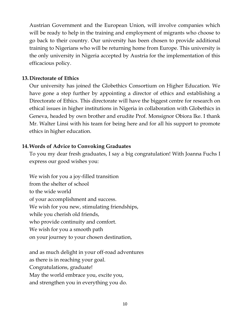Austrian Government and the European Union, will involve companies which will be ready to help in the training and employment of migrants who choose to go back to their country. Our university has been chosen to provide additional training to Nigerians who will be returning home from Europe. This university is the only university in Nigeria accepted by Austria for the implementation of this efficacious policy.

# **13. Directorate of Ethics**

Our university has joined the Globethics Consortium on Higher Education. We have gone a step further by appointing a director of ethics and establishing a Directorate of Ethics. This directorate will have the biggest centre for research on ethical issues in higher institutions in Nigeria in collaboration with Globethics in Geneva, headed by own brother and erudite Prof. Monsignor Obiora Ike. I thank Mr. Walter Linsi with his team for being here and for all his support to promote ethics in higher education.

# **14.Words of Advice to Convoking Graduates**

To you my dear fresh graduates, I say a big congratulation! With Joanna Fuchs I express our good wishes you:

We wish for you a joy-filled transition from the shelter of school to the wide world of your accomplishment and success. We wish for you new, stimulating friendships, while you cherish old friends, who provide continuity and comfort. We wish for you a smooth path on your journey to your chosen destination,

and as much delight in your off-road adventures as there is in reaching your goal. Congratulations, graduate! May the world embrace you, excite you, and strengthen you in everything you do.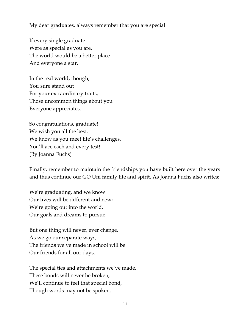My dear graduates, always remember that you are special:

If every single graduate Were as special as you are, The world would be a better place And everyone a star.

In the real world, though, You sure stand out For your extraordinary traits, Those uncommon things about you Everyone appreciates.

So congratulations, graduate! We wish you all the best. We know as you meet life's challenges, You'll ace each and every test! (By Joanna Fuchs)

Finally, remember to maintain the friendships you have built here over the years and thus continue our GO Uni family life and spirit. As Joanna Fuchs also writes:

We're graduating, and we know Our lives will be different and new; We're going out into the world, Our goals and dreams to pursue.

But one thing will never, ever change, As we go our separate ways; The friends we've made in school will be Our friends for all our days.

The special ties and attachments we've made, These bonds will never be broken; We'll continue to feel that special bond, Though words may not be spoken.